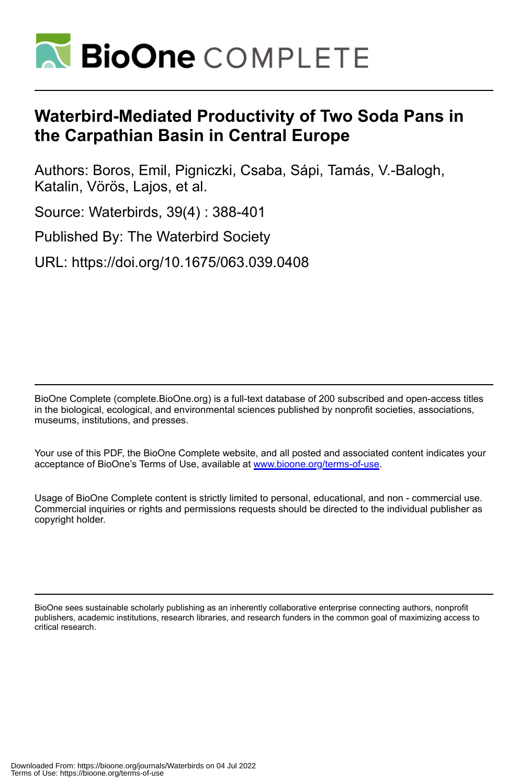

# **Waterbird-Mediated Productivity of Two Soda Pans in the Carpathian Basin in Central Europe**

Authors: Boros, Emil, Pigniczki, Csaba, Sápi, Tamás, V.-Balogh, Katalin, Vörös, Lajos, et al.

Source: Waterbirds, 39(4) : 388-401

Published By: The Waterbird Society

URL: https://doi.org/10.1675/063.039.0408

BioOne Complete (complete.BioOne.org) is a full-text database of 200 subscribed and open-access titles in the biological, ecological, and environmental sciences published by nonprofit societies, associations, museums, institutions, and presses.

Your use of this PDF, the BioOne Complete website, and all posted and associated content indicates your acceptance of BioOne's Terms of Use, available at www.bioone.org/terms-of-use.

Usage of BioOne Complete content is strictly limited to personal, educational, and non - commercial use. Commercial inquiries or rights and permissions requests should be directed to the individual publisher as copyright holder.

BioOne sees sustainable scholarly publishing as an inherently collaborative enterprise connecting authors, nonprofit publishers, academic institutions, research libraries, and research funders in the common goal of maximizing access to critical research.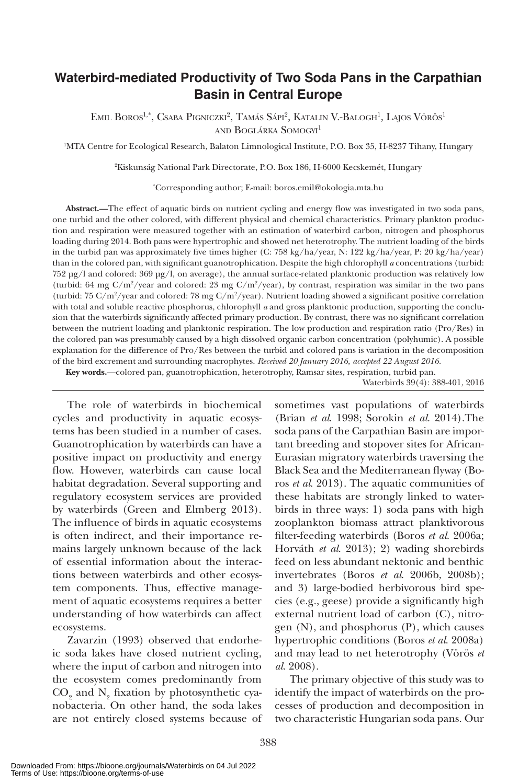# **Waterbird-mediated Productivity of Two Soda Pans in the Carpathian Basin in Central Europe**

EMIL BOROS<sup>1,\*</sup>, Csaba Pigniczki<sup>2</sup>, Tamás Sápi<sup>2</sup>, Katalin V.-Balogh<sup>1</sup>, Lajos Vörös<sup>1</sup> and Boglárka Somogyi<sup>1</sup>

1 MTA Centre for Ecological Research, Balaton Limnological Institute, P.O. Box 35, H-8237 Tihany, Hungary

2 Kiskunság National Park Directorate, P.O. Box 186, H-6000 Kecskemét, Hungary

\* Corresponding author; E-mail: boros.emil@okologia.mta.hu

**Abstract.—**The effect of aquatic birds on nutrient cycling and energy flow was investigated in two soda pans, one turbid and the other colored, with different physical and chemical characteristics. Primary plankton production and respiration were measured together with an estimation of waterbird carbon, nitrogen and phosphorus loading during 2014. Both pans were hypertrophic and showed net heterotrophy. The nutrient loading of the birds in the turbid pan was approximately five times higher (C: 758 kg/ha/year, N: 122 kg/ha/year, P: 20 kg/ha/year) than in the colored pan, with significant guanotrophication. Despite the high chlorophyll *a* concentrations (turbid:  $752 \text{ µg/l}$  and colored:  $369 \text{ µg/l}$ , on average), the annual surface-related planktonic production was relatively low (turbid: 64 mg  $C/m^2$ /year and colored: 23 mg  $C/m^2$ /year), by contrast, respiration was similar in the two pans (turbid: 75 C/m<sup>2</sup>/year and colored: 78 mg C/m<sup>2</sup>/year). Nutrient loading showed a significant positive correlation with total and soluble reactive phosphorus, chlorophyll *a* and gross planktonic production, supporting the conclusion that the waterbirds significantly affected primary production. By contrast, there was no significant correlation between the nutrient loading and planktonic respiration. The low production and respiration ratio (Pro/Res) in the colored pan was presumably caused by a high dissolved organic carbon concentration (polyhumic). A possible explanation for the difference of Pro/Res between the turbid and colored pans is variation in the decomposition of the bird excrement and surrounding macrophytes. *Received 20 January 2016, accepted 22 August 2016.*

**Key words.—**colored pan, guanotrophication, heterotrophy, Ramsar sites, respiration, turbid pan.

Waterbirds 39(4): 388-401, 2016

The role of waterbirds in biochemical cycles and productivity in aquatic ecosystems has been studied in a number of cases. Guanotrophication by waterbirds can have a positive impact on productivity and energy flow. However, waterbirds can cause local habitat degradation. Several supporting and regulatory ecosystem services are provided by waterbirds (Green and Elmberg 2013). The influence of birds in aquatic ecosystems is often indirect, and their importance remains largely unknown because of the lack of essential information about the interactions between waterbirds and other ecosystem components. Thus, effective management of aquatic ecosystems requires a better understanding of how waterbirds can affect ecosystems.

Zavarzin (1993) observed that endorheic soda lakes have closed nutrient cycling, where the input of carbon and nitrogen into the ecosystem comes predominantly from  $\mathrm{CO}_2$  and  $\mathrm{N}_2$  fixation by photosynthetic cyanobacteria. On other hand, the soda lakes are not entirely closed systems because of sometimes vast populations of waterbirds (Brian *et al*. 1998; Sorokin *et al*. 2014).The soda pans of the Carpathian Basin are important breeding and stopover sites for African-Eurasian migratory waterbirds traversing the Black Sea and the Mediterranean flyway (Boros *et al*. 2013). The aquatic communities of these habitats are strongly linked to waterbirds in three ways: 1) soda pans with high zooplankton biomass attract planktivorous filter-feeding waterbirds (Boros *et al*. 2006a; Horváth *et al*. 2013); 2) wading shorebirds feed on less abundant nektonic and benthic invertebrates (Boros *et al*. 2006b, 2008b); and 3) large-bodied herbivorous bird species (e.g., geese) provide a significantly high external nutrient load of carbon (C), nitrogen (N), and phosphorus (P), which causes hypertrophic conditions (Boros *et al*. 2008a) and may lead to net heterotrophy (Vörös *et al*. 2008).

The primary objective of this study was to identify the impact of waterbirds on the processes of production and decomposition in two characteristic Hungarian soda pans. Our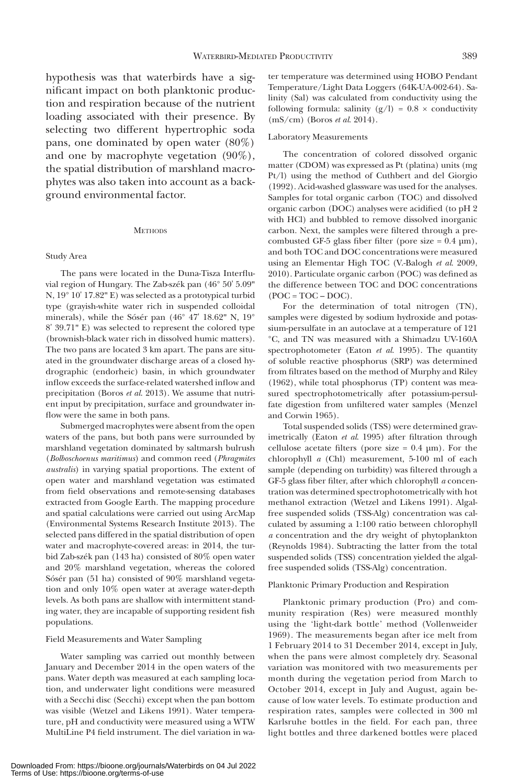hypothesis was that waterbirds have a significant impact on both planktonic production and respiration because of the nutrient loading associated with their presence. By selecting two different hypertrophic soda pans, one dominated by open water (80%) and one by macrophyte vegetation (90%), the spatial distribution of marshland macrophytes was also taken into account as a background environmental factor.

## **METHODS**

# Study Area

The pans were located in the Duna-Tisza Interfluvial region of Hungary. The Zab-szék pan (46° 50' 5.09" N, 19° 10' 17.82" E) was selected as a prototypical turbid type (grayish-white water rich in suspended colloidal minerals), while the Sósér pan (46° 47' 18.62" N, 19° 8' 39.71" E) was selected to represent the colored type (brownish-black water rich in dissolved humic matters). The two pans are located 3 km apart. The pans are situated in the groundwater discharge areas of a closed hydrographic (endorheic) basin, in which groundwater inflow exceeds the surface-related watershed inflow and precipitation (Boros *et al*. 2013). We assume that nutrient input by precipitation, surface and groundwater inflow were the same in both pans.

Submerged macrophytes were absent from the open waters of the pans, but both pans were surrounded by marshland vegetation dominated by saltmarsh bulrush (*Bolboschoenus maritimus*) and common reed (*Phragmites australis*) in varying spatial proportions. The extent of open water and marshland vegetation was estimated from field observations and remote-sensing databases extracted from Google Earth. The mapping procedure and spatial calculations were carried out using ArcMap (Environmental Systems Research Institute 2013). The selected pans differed in the spatial distribution of open water and macrophyte-covered areas: in 2014, the turbid Zab-szék pan (143 ha) consisted of 80% open water and 20% marshland vegetation, whereas the colored Sósér pan (51 ha) consisted of 90% marshland vegetation and only 10% open water at average water-depth levels. As both pans are shallow with intermittent standing water, they are incapable of supporting resident fish populations.

# Field Measurements and Water Sampling

Water sampling was carried out monthly between January and December 2014 in the open waters of the pans. Water depth was measured at each sampling location, and underwater light conditions were measured with a Secchi disc (Secchi) except when the pan bottom was visible (Wetzel and Likens 1991). Water temperature, pH and conductivity were measured using a WTW MultiLine P4 field instrument. The diel variation in wa-

ter temperature was determined using HOBO Pendant Temperature/Light Data Loggers (64K-UA-002-64). Salinity (Sal) was calculated from conductivity using the following formula: salinity  $(g/l) = 0.8 \times$  conductivity (mS/cm) (Boros *et al*. 2014).

#### Laboratory Measurements

The concentration of colored dissolved organic matter (CDOM) was expressed as Pt (platina) units (mg Pt/l) using the method of Cuthbert and del Giorgio (1992). Acid-washed glassware was used for the analyses. Samples for total organic carbon (TOC) and dissolved organic carbon (DOC) analyses were acidified (to pH 2 with HCl) and bubbled to remove dissolved inorganic carbon. Next, the samples were filtered through a precombusted GF-5 glass fiber filter (pore size  $= 0.4$  µm), and both TOC and DOC concentrations were measured using an Elementar High TOC (V.-Balogh *et al*. 2009, 2010). Particulate organic carbon (POC) was defined as the difference between TOC and DOC concentrations  $(POC = TOC - DOC)$ .

For the determination of total nitrogen (TN), samples were digested by sodium hydroxide and potassium-persulfate in an autoclave at a temperature of 121 °C, and TN was measured with a Shimadzu UV-160A spectrophotometer (Eaton *et al*. 1995). The quantity of soluble reactive phosphorus (SRP) was determined from filtrates based on the method of Murphy and Riley (1962), while total phosphorus (TP) content was measured spectrophotometrically after potassium-persulfate digestion from unfiltered water samples (Menzel and Corwin 1965).

Total suspended solids (TSS) were determined gravimetrically (Eaton *et al*. 1995) after filtration through cellulose acetate filters (pore size  $= 0.4$  µm). For the chlorophyll *a* (Chl) measurement, 5-100 ml of each sample (depending on turbidity) was filtered through a GF-5 glass fiber filter, after which chlorophyll *a* concentration was determined spectrophotometrically with hot methanol extraction (Wetzel and Likens 1991). Algalfree suspended solids (TSS-Alg) concentration was calculated by assuming a 1:100 ratio between chlorophyll *a* concentration and the dry weight of phytoplankton (Reynolds 1984). Subtracting the latter from the total suspended solids (TSS) concentration yielded the algalfree suspended solids (TSS-Alg) concentration.

#### Planktonic Primary Production and Respiration

Planktonic primary production (Pro) and community respiration (Res) were measured monthly using the 'light-dark bottle' method (Vollenweider 1969). The measurements began after ice melt from 1 February 2014 to 31 December 2014, except in July, when the pans were almost completely dry. Seasonal variation was monitored with two measurements per month during the vegetation period from March to October 2014, except in July and August, again because of low water levels. To estimate production and respiration rates, samples were collected in 300 ml Karlsruhe bottles in the field. For each pan, three light bottles and three darkened bottles were placed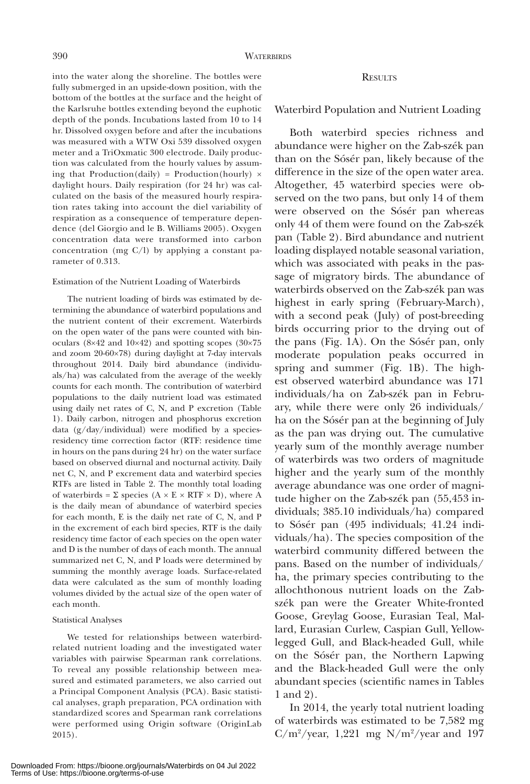# **RESULTS**

Waterbird Population and Nutrient Loading

Both waterbird species richness and abundance were higher on the Zab-szék pan than on the Sósér pan, likely because of the difference in the size of the open water area. Altogether, 45 waterbird species were observed on the two pans, but only 14 of them were observed on the Sósér pan whereas only 44 of them were found on the Zab-szék pan (Table 2). Bird abundance and nutrient loading displayed notable seasonal variation, which was associated with peaks in the passage of migratory birds. The abundance of waterbirds observed on the Zab-szék pan was highest in early spring (February-March), with a second peak (July) of post-breeding birds occurring prior to the drying out of the pans (Fig. 1A). On the Sósér pan, only moderate population peaks occurred in spring and summer (Fig. 1B). The highest observed waterbird abundance was 171 individuals/ha on Zab-szék pan in February, while there were only 26 individuals/ ha on the Sósér pan at the beginning of July as the pan was drying out. The cumulative yearly sum of the monthly average number of waterbirds was two orders of magnitude higher and the yearly sum of the monthly average abundance was one order of magnitude higher on the Zab-szék pan (55,453 individuals; 385.10 individuals/ha) compared to Sósér pan (495 individuals; 41.24 individuals/ha). The species composition of the waterbird community differed between the pans. Based on the number of individuals/ ha, the primary species contributing to the allochthonous nutrient loads on the Zabszék pan were the Greater White-fronted Goose, Greylag Goose, Eurasian Teal, Mallard, Eurasian Curlew, Caspian Gull, Yellowlegged Gull, and Black-headed Gull, while on the Sósér pan, the Northern Lapwing and the Black-headed Gull were the only abundant species (scientific names in Tables 1 and 2).

In 2014, the yearly total nutrient loading of waterbirds was estimated to be 7,582 mg  $C/m^2$ /year, 1,221 mg N/m<sup>2</sup>/year and 197

into the water along the shoreline. The bottles were fully submerged in an upside-down position, with the bottom of the bottles at the surface and the height of the Karlsruhe bottles extending beyond the euphotic depth of the ponds. Incubations lasted from 10 to 14 hr. Dissolved oxygen before and after the incubations was measured with a WTW Oxi 539 dissolved oxygen meter and a TriOxmatic 300 electrode. Daily production was calculated from the hourly values by assuming that Production(daily) = Production(hourly)  $\times$ daylight hours. Daily respiration (for 24 hr) was calculated on the basis of the measured hourly respiration rates taking into account the diel variability of respiration as a consequence of temperature dependence (del Giorgio and le B. Williams 2005). Oxygen concentration data were transformed into carbon concentration (mg C/l) by applying a constant parameter of 0.313.

#### Estimation of the Nutrient Loading of Waterbirds

The nutrient loading of birds was estimated by determining the abundance of waterbird populations and the nutrient content of their excrement. Waterbirds on the open water of the pans were counted with binoculars (8×42 and 10×42) and spotting scopes (30×75 and zoom 20-60×78) during daylight at 7-day intervals throughout 2014. Daily bird abundance (individuals/ha) was calculated from the average of the weekly counts for each month. The contribution of waterbird populations to the daily nutrient load was estimated using daily net rates of C, N, and P excretion (Table 1). Daily carbon, nitrogen and phosphorus excretion data  $(g/day/individual)$  were modified by a speciesresidency time correction factor (RTF: residence time in hours on the pans during 24 hr) on the water surface based on observed diurnal and nocturnal activity. Daily net C, N, and P excrement data and waterbird species RTFs are listed in Table 2. The monthly total loading of waterbirds =  $\Sigma$  species (A × E × RTF × D), where A is the daily mean of abundance of waterbird species for each month, E is the daily net rate of C, N, and P in the excrement of each bird species, RTF is the daily residency time factor of each species on the open water and D is the number of days of each month. The annual summarized net C, N, and P loads were determined by summing the monthly average loads. Surface-related data were calculated as the sum of monthly loading volumes divided by the actual size of the open water of each month.

# Statistical Analyses

We tested for relationships between waterbirdrelated nutrient loading and the investigated water variables with pairwise Spearman rank correlations. To reveal any possible relationship between measured and estimated parameters, we also carried out a Principal Component Analysis (PCA). Basic statistical analyses, graph preparation, PCA ordination with standardized scores and Spearman rank correlations were performed using Origin software (OriginLab 2015).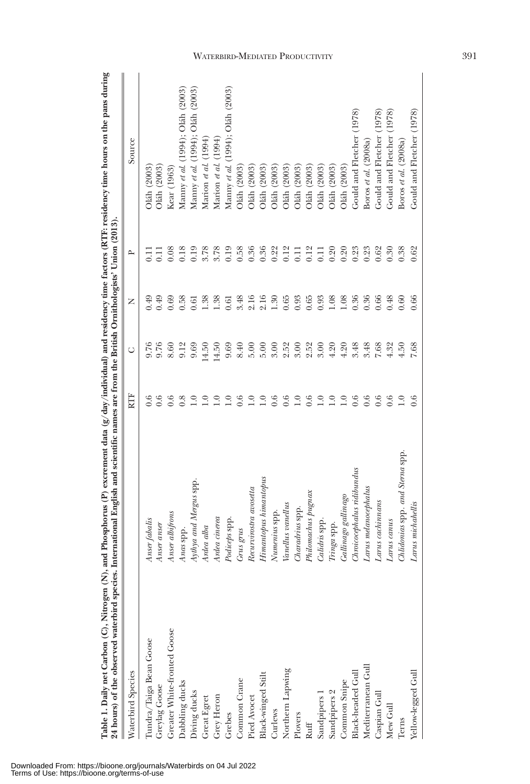| Table 1. Daily net Carbon (C), Nitrogen (N), and Phosphorus (P) excrement data (g/day/individual) and residency time factors (RTF: residency time hours on the pans during<br>24 hours) of the observed waterbird species. International English and scientific names are from the British Ornithologists' Union (2013) |                                   |                  |       |      |                |                                       |
|-------------------------------------------------------------------------------------------------------------------------------------------------------------------------------------------------------------------------------------------------------------------------------------------------------------------------|-----------------------------------|------------------|-------|------|----------------|---------------------------------------|
| Waterbird Species                                                                                                                                                                                                                                                                                                       |                                   | RTF              | Ō     | z    | $\mathsf{p}$   | Source                                |
| Tundra/Taiga Bean Goose                                                                                                                                                                                                                                                                                                 | Anser fabalis                     | 0.6              | 9.76  | 0.49 | Ξ              | Oláh (2003)                           |
| Greylag Goose                                                                                                                                                                                                                                                                                                           | Anser anser                       | 0.6              | 9.76  | 0.49 | Ξ              | Oláh (2003)                           |
| Greater White-fronted Goose                                                                                                                                                                                                                                                                                             | Anser albifrons                   | 0.6              | 8.60  | 0.69 | 0.08           | Kear (1963)                           |
| Dabbling ducks                                                                                                                                                                                                                                                                                                          | Anas spp.                         | 0.8              | 9.12  | 0.58 | 0.18           | Manny et al. (1994); Oláh (2003)      |
| Diving ducks                                                                                                                                                                                                                                                                                                            | Aythya and Mergus spp.            | $\overline{1.0}$ | 9.69  | 0.61 | 0.19           | Manny et al. $(1994)$ ; Oláh $(2003)$ |
| Great Egret                                                                                                                                                                                                                                                                                                             | Ardea alba                        | $\overline{1.0}$ | 14.50 | 1.38 | 3.78           | Marion et al. $(1994)$                |
| Grey Heron                                                                                                                                                                                                                                                                                                              | Ardea cinerea                     | $\overline{1.0}$ | 14.50 | 1.38 | 3.78           | Marion et al. $(1994)$                |
| Grebes                                                                                                                                                                                                                                                                                                                  | Podiceps spp.                     | $\overline{1.0}$ | 9.69  | 0.61 | 0.19           | Manny et al. (1994); Oláh (2003)      |
| Common Crane                                                                                                                                                                                                                                                                                                            | Grus grus                         | 0.6              | 8.40  | 3.48 | 0.58           | Oláh (2003)                           |
| Pied Avocet                                                                                                                                                                                                                                                                                                             | Recurvirostra avosetta            | 1.0              | 5.00  | 2.16 | 0.36           | Oláh (2003)                           |
| Black-winged Stilt                                                                                                                                                                                                                                                                                                      | Himantopus himantopus             | $\frac{0}{1}$    | 5.00  | 2.16 | 0.36           | Oláh (2003)                           |
| Curlews                                                                                                                                                                                                                                                                                                                 | Numenius spp                      | 0.6              | 3.00  | 1.30 | 0.22           | Oláh (2003)                           |
| Northern Lapwing                                                                                                                                                                                                                                                                                                        | Vanellus vanellus                 | 0.6              | 2.52  | 0.65 | 0.12           | Oláh (2003)                           |
| Plovers                                                                                                                                                                                                                                                                                                                 | Charadrius spp.                   | $\overline{1.0}$ | 3.00  | 0.93 | $\overline{0}$ | Oláh (2003)                           |
| Ruff                                                                                                                                                                                                                                                                                                                    | Philomachus pugnax                | 0.6              | 2.52  | 0.65 | 0.12           | Oláh (2003)                           |
| Sandpipers 1                                                                                                                                                                                                                                                                                                            | Calidris spp.                     | $\overline{1.0}$ | 3.00  | 0.93 | $\overline{0}$ | Oláh (2003)                           |
| Sandpipers 2                                                                                                                                                                                                                                                                                                            | $Tringa$ spp.                     | 1.0              | 4.20  | 1.08 | 0.20           | Oláh (2003)                           |
| Common Snipe                                                                                                                                                                                                                                                                                                            | Gallinago gallinago               | 1.0              | 4.20  | 1.08 | 0.20           | Oláh (2003)                           |
| Black-headed Gul                                                                                                                                                                                                                                                                                                        | $\emph{Chroicephalus~ridibundus}$ | 0.6              | 3.48  | 0.36 | 0.23           | Gould and Fletcher (1978)             |
| Mediterranean Gull                                                                                                                                                                                                                                                                                                      | $L$ arus melanocephalus           | 0.6              | 3.48  | 0.36 | 0.23           | Boros et al. (2008a)                  |
| Caspian Gull                                                                                                                                                                                                                                                                                                            | Larus cachinnans                  | 0.6              | 7.68  | 0.66 | 0.62           | Gould and Fletcher (1978)             |
| Mew Gull                                                                                                                                                                                                                                                                                                                | Larus canus                       | 0.6              | 4.32  | 0.48 | 0.30           | (1978)<br>Gould and Fletcher          |
| Terns                                                                                                                                                                                                                                                                                                                   | Chidonias spp. and Sterna spp.    | $\overline{1.0}$ | 4.50  | 0.60 | 0.38           | Boros et al. $(2008a)$                |
| Yellow-legged Gull                                                                                                                                                                                                                                                                                                      | Larus michahellis                 | 0.6              | 7.68  | 0.66 | 0.62           | Gould and Fletcher (1978)             |

 $\epsilon$ ś ्  $\ddot{\cdot}$ Ĭ, R į,  $\widehat{e}$ ļ, É ł,  $\tilde{f}$ Ž  $\epsilon$ ł, Ċ f, È ł,  $\frac{1}{2}$  $\mathbf{r}$ Downloaded From: https://bioone.org/journals/Waterbirds on 04 Jul 2022 Terms of Use: https://bioone.org/terms-of-use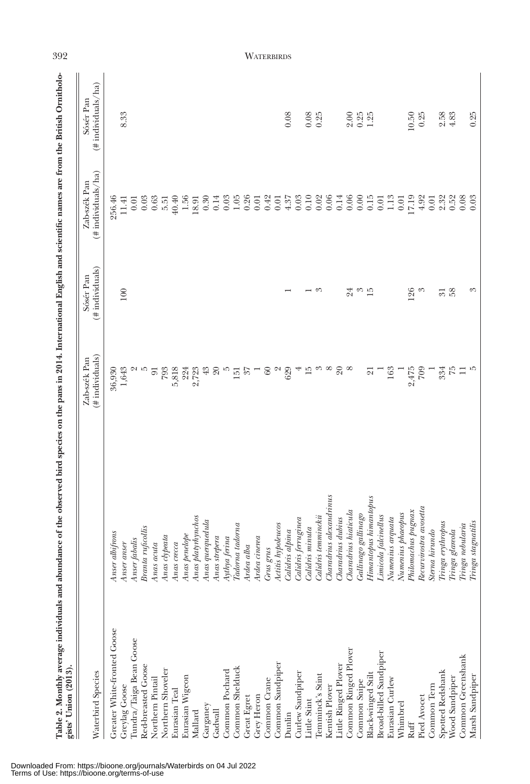| gists' Union (2013).<br>Waterbird Species |                                 | #individuals)<br>Zab-szék Pan | $#$ individuals)<br>Sósér Pan | $(*$ individuals/ha)<br>Zab-szék Pan | $#$ individuals/ha)<br>Sósér Pan |
|-------------------------------------------|---------------------------------|-------------------------------|-------------------------------|--------------------------------------|----------------------------------|
| Greater White-fronted Goose               | Anser albifrons                 | 36,930                        |                               | 256.46                               |                                  |
| Greylag Goose                             | Anser anser                     | 1,643                         | 100                           | 11.41                                | 8.33                             |
| Tundra/Taiga Bean Goose                   | <i>cabalis</i><br>Answerf       |                               |                               | 0.01                                 |                                  |
| Red-breasted Goose                        | Branta ruficollis               | u ro                          |                               | 0.03                                 |                                  |
| Northern Pintail                          | Anas acuta                      | $\overline{5}$                |                               | 0.63                                 |                                  |
| Northern Shoveler                         | Anas clypeata                   | 793                           |                               | 5.51                                 |                                  |
| Eurasian Teal                             | $Anas\,area$                    | 5,818                         |                               | 40.40                                |                                  |
| Eurasian Wigeon                           | Anas penelope                   | 224                           |                               | $1.56\,$                             |                                  |
| Mallard                                   | Anas platyrhynchos              | 2,723                         |                               | 18.91                                |                                  |
| Garganey                                  | $Anas$ querquedula              | $43\,$                        |                               | 0.30                                 |                                  |
| Gadwall                                   | Anas strepera                   | $20\,$                        |                               | 0.14                                 |                                  |
| Common Pochard                            | Aythya ferina                   | IJ                            |                               | 0.03                                 |                                  |
| Common Shelduck                           | Tadorna tadorna                 | $\frac{151}{37}$              |                               | $1.05\,$                             |                                  |
| Great Egret                               | Ardea alba                      |                               |                               | 0.26                                 |                                  |
| Grey Heron                                | Ardea cinerea                   |                               |                               | 0.01                                 |                                  |
| Common Crane                              | Grus grus<br>Actitis hypoleucos | $60\,$                        |                               | 0.42                                 |                                  |
| Common Sandpiper                          |                                 | $\sim$                        |                               | 0.01                                 |                                  |
| Dunlin                                    | Calidris alpina                 | 629                           |                               | 4.37                                 | 0.08                             |
| Curlew Sandpiper                          | Calidris ferruginea             |                               |                               | 0.03                                 |                                  |
| Little Stint                              | Calidris minuta                 | 15                            |                               | $0.10$<br>$0.02$                     | $0.08$<br>$0.25$                 |
| Temminck's Stint                          | Calidris temminckii             | $\mathcal{C}$                 | ೧                             |                                      |                                  |
| Kentish Plover                            | Charadrius alexandrinus         | $\infty$                      |                               | 0.06                                 |                                  |
| Little Ringed Plover                      | Charadrius dubius               | $20\,$                        |                               | 0.14                                 |                                  |
| Common Ringed Plover                      | Charadrius hiaticula            | $^{\circ}$                    | 24                            | $0.06$<br>$0.06$<br>$0.15$           | $2.00\,$                         |
| Common Snipe                              | Gallinago gallinago             |                               | S                             |                                      | $0.25$<br>1.25                   |
| Black-winged Stilt                        | Himantopus himantopus           | $\overline{\Omega}$           | $\overline{15}$               |                                      |                                  |
| Broad-billed Sandpiper                    | Limicola falcinellus            |                               |                               | 0.01                                 |                                  |
| Eurasian Curlew                           | Numenius arquata                | 163                           |                               | $1.13\,$                             |                                  |
| Whimbrel                                  | Numenius phaeopus               |                               |                               | 0.01                                 |                                  |
| Ruff                                      | Philomachus pugnax              | $2,475$<br>709                | 126                           | 7.19                                 | 10.50                            |
| Pied Avocet                               | Recurvirostra avosetta          |                               | S                             | 4.92                                 | 0.25                             |
| Common Tern                               | Sterna hirundo                  |                               |                               | 0.01                                 |                                  |
| Spotted Redshank                          | Tringa erythropus               | 334                           | $\overline{\mathcal{E}}$      | 2.32                                 | 2.58                             |
| Wood Sandpiper                            | glareola<br>Tringa              | $\tilde{L}$                   | 58                            | 0.52                                 | 4.83                             |
| Common Greenshank                         | nebularia<br>Tringa             | $\Box$                        |                               | 0.08                                 |                                  |
| Marsh Sandpiper                           | stagnatilis<br>$Tringa$         | IJ                            | 8                             | 0.03                                 | 0.25                             |

392 WATERBIRDS

Downloaded From: https://bioone.org/journals/Waterbirds on 04 Jul 2022 Terms of Use: https://bioone.org/terms-of-use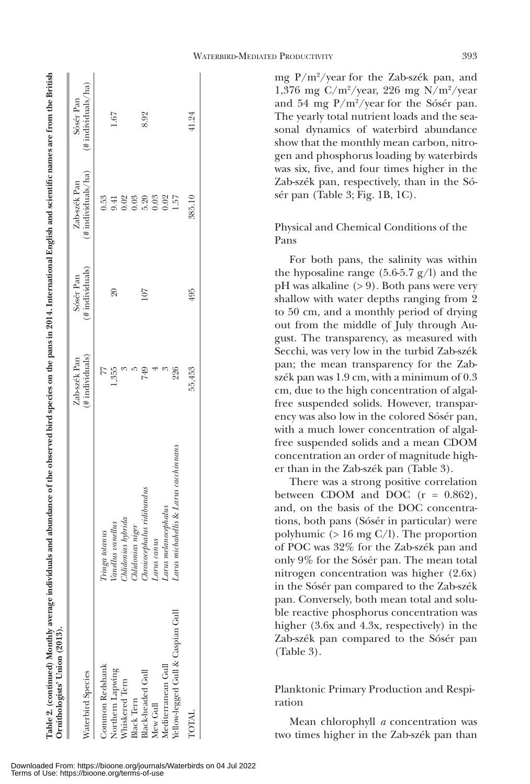| $_{\rm usn}$                                        |                  |  |
|-----------------------------------------------------|------------------|--|
|                                                     |                  |  |
|                                                     |                  |  |
|                                                     |                  |  |
|                                                     |                  |  |
|                                                     |                  |  |
|                                                     |                  |  |
|                                                     |                  |  |
|                                                     |                  |  |
| ¢                                                   |                  |  |
|                                                     |                  |  |
|                                                     |                  |  |
|                                                     |                  |  |
|                                                     |                  |  |
|                                                     |                  |  |
| J                                                   |                  |  |
|                                                     |                  |  |
|                                                     |                  |  |
|                                                     |                  |  |
|                                                     |                  |  |
|                                                     |                  |  |
|                                                     |                  |  |
|                                                     |                  |  |
|                                                     |                  |  |
|                                                     |                  |  |
|                                                     |                  |  |
|                                                     |                  |  |
|                                                     |                  |  |
|                                                     |                  |  |
|                                                     |                  |  |
|                                                     |                  |  |
|                                                     |                  |  |
|                                                     |                  |  |
|                                                     |                  |  |
|                                                     |                  |  |
|                                                     |                  |  |
|                                                     |                  |  |
|                                                     |                  |  |
| י<br>י                                              |                  |  |
|                                                     |                  |  |
|                                                     |                  |  |
|                                                     |                  |  |
|                                                     |                  |  |
|                                                     |                  |  |
|                                                     |                  |  |
|                                                     |                  |  |
|                                                     |                  |  |
| is 3<br>i                                           |                  |  |
| i<br>֖ׅׅ֧֚֚֚֚֚֚֚֚֚֚֚֚֚֚֚֚֚֚֚֚֚֚֚֚֚֚֚֬֡֡֡֡֡֡֡֓֡֡֡֡֬֝ |                  |  |
| j                                                   |                  |  |
|                                                     |                  |  |
| )                                                   |                  |  |
|                                                     |                  |  |
| ļ                                                   |                  |  |
|                                                     | ì<br>ś           |  |
|                                                     | i<br>C<br>C<br>C |  |
|                                                     |                  |  |
|                                                     |                  |  |
|                                                     |                  |  |
|                                                     | i                |  |
|                                                     |                  |  |
|                                                     |                  |  |
| j                                                   | Ï                |  |

| Waterbird Species                 |                                       | $#$ individuals)<br>Zab-szék Pan | $(\#$ individuals)<br>Sósér Pan | $(*$ individuals/ha)<br>Zab-szék Pan | $(\#$ individuals/ha)<br>Sósér Pan |
|-----------------------------------|---------------------------------------|----------------------------------|---------------------------------|--------------------------------------|------------------------------------|
| Common Redshank                   | Tringa totanus                        |                                  |                                 | 0.53                                 |                                    |
| Northern Lapwing                  | Vanellus vanellus                     | 1.355                            | $\overline{6}$                  | 9.41                                 | 1.67                               |
| Whiskered Tern                    | Chlidonias hybrida                    |                                  |                                 | 0.02                                 |                                    |
| <b>Black Tern</b>                 | Midonias niger                        |                                  |                                 | 0.03                                 |                                    |
| Black-headed Gull                 | Chroicocephalus ridibundus            | 74:                              | 107                             | 5.20                                 | 8.92                               |
| Mew Gull                          | Larus canus                           |                                  |                                 | 0.03                                 |                                    |
| Mediterranean Gull                | Larus melanocephalus                  |                                  |                                 | 0.02                                 |                                    |
| Yellow-legged Gull & Caspian Gull | Larus michahellis & Larus cacchinnans | 226                              |                                 | 1.57                                 |                                    |
| TOTAL                             |                                       | 55,453                           | 495                             | 385.10                               | 41.24                              |

mg P/m2 /year for the Zab-szék pan, and 1,376 mg C/m2 /year, 226 mg N/m2 /year and 54 mg P/m2 /year for the Sósér pan. The yearly total nutrient loads and the seasonal dynamics of waterbird abundance show that the monthly mean carbon, nitrogen and phosphorus loading by waterbirds was six, five, and four times higher in the Zab-szék pan, respectively, than in the Sósér pan (Table 3; Fig. 1B, 1C).

Physical and Chemical Conditions of the Pans

For both pans, the salinity was within the hyposaline range  $(5.6-5.7 \text{ g/l})$  and the pH was alkaline (> 9). Both pans were very shallow with water depths ranging from 2 to 50 cm, and a monthly period of drying out from the middle of July through August. The transparency, as measured with Secchi, was very low in the turbid Zab-szék pan; the mean transparency for the Zabszék pan was 1.9 cm, with a minimum of 0.3 cm, due to the high concentration of algalfree suspended solids. However, transparency was also low in the colored Sósér pan, with a much lower concentration of algalfree suspended solids and a mean CDOM concentration an order of magnitude higher than in the Zab-szék pan (Table 3).

There was a strong positive correlation between CDOM and DOC  $(r = 0.862)$ , and, on the basis of the DOC concentrations, both pans (Sósér in particular) were polyhumic  $(> 16 \text{ mg C/I})$ . The proportion of POC was 32% for the Zab-szék pan and only 9% for the Sósér pan. The mean total nitrogen concentration was higher (2.6x) in the Sósér pan compared to the Zab-szék pan. Conversely, both mean total and soluble reactive phosphorus concentration was higher (3.6x and 4.3x, respectively) in the Zab-szék pan compared to the Sósér pan (Table 3).

Planktonic Primary Production and Respiration

Mean chlorophyll *a* concentration was two times higher in the Zab-szék pan than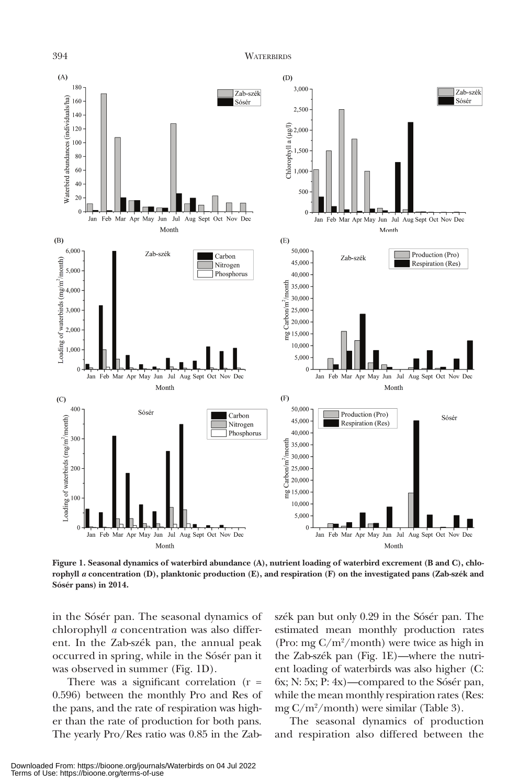394 WATERBIRDS



**Figure 1. Seasonal dynamics of waterbird abundance (A), nutrient loading of waterbird excrement (B and C), chlorophyll** *a* **concentration (D), planktonic production (E), and respiration (F) on the investigated pans (Zab-szék and Sósér pans) in 2014.**

in the Sósér pan. The seasonal dynamics of chlorophyll *a* concentration was also different. In the Zab-szék pan, the annual peak occurred in spring, while in the Sósér pan it was observed in summer (Fig. 1D).

There was a significant correlation  $(r =$ 0.596) between the monthly Pro and Res of the pans, and the rate of respiration was higher than the rate of production for both pans. The yearly Pro/Res ratio was 0.85 in the Zabszék pan but only 0.29 in the Sósér pan. The estimated mean monthly production rates (Pro: mg C/m2 /month) were twice as high in the Zab-szék pan (Fig. 1E)—where the nutrient loading of waterbirds was also higher (C: 6x; N: 5x; P: 4x)—compared to the Sósér pan, while the mean monthly respiration rates (Res: mg C/m2 /month) were similar (Table 3).

The seasonal dynamics of production and respiration also differed between the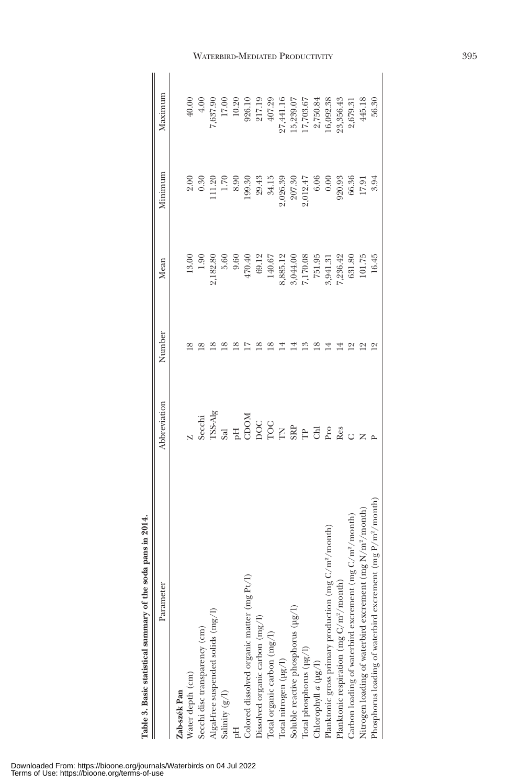| extra m cand pace and a f minimal pace accept to a contract                   |                                                 |        |                      |          |           |
|-------------------------------------------------------------------------------|-------------------------------------------------|--------|----------------------|----------|-----------|
| Parameter                                                                     | Abbreviation                                    | Number | Mean                 | Minimum  | Maximum   |
| Zab-szék Pan                                                                  |                                                 |        |                      |          |           |
| Water depth (cm)                                                              |                                                 |        | 13.00                | 2.00     | 40.00     |
| Secchi disc transparency (cm)                                                 | secchi                                          |        | 1.90                 | 0.30     | 4.00      |
| Algal-free suspended solids (mg/l)                                            | rss-Alg                                         |        | 2,182.80             | 11.20    | 7,637.90  |
| Salinity $(g/l)$                                                              |                                                 |        | 5.60                 | 1.70     | 17.00     |
|                                                                               |                                                 |        | 9.60                 | 8.90     | 10.20     |
| Colored dissolved organic matter (mg Pt/l)                                    |                                                 |        | 470.40               | 199.30   | 926.10    |
| Dissolved organic carbon (mg/l)                                               |                                                 |        | 69.12                | 29.43    | 217.19    |
| Total organic carbon (mg/l)                                                   |                                                 |        | 140.67               | 34.15    | 407.29    |
| Total nitrogen $(\mu g/l)$                                                    |                                                 |        | 3,885.12             | 2,026.39 | 27,441.16 |
| Soluble reactive phosphorus (µg/l)                                            |                                                 |        |                      | 207.30   | 5,239.07  |
| Total phosphorus $(\mu g / l)$                                                |                                                 |        | 3,044.00<br>7,170.08 | 2,012.47 | 7,703.67  |
| Chlorophyll $a$ ( $\mu$ g/l)                                                  | $\overset{\triangle}{B} \overset{\triangle}{E}$ |        | 751.95               | 6.06     | 2,750.84  |
| month)<br>Planktonic gross primary production (mg $C/m^2$                     | Pro                                             |        | ,941.31              | 0.00     | 6,092.38  |
| Planktonic respiration (mg C/m <sup>2</sup> /month)                           | Res                                             |        | ;236.42              | 920.93   | 23,356.43 |
| Carbon loading of waterbird excrement $(\text{mg C}/\text{m}^2/\text{month})$ |                                                 |        | 631.80               | 66.36    | 2,679.31  |
| Nitrogen loading of waterbird excrement $(mg N/m^2/m$ onth)                   |                                                 |        | 101.75               | 17.9     | 445.18    |
| Phosphorus loading of waterbird excrement (mg P/m <sup>2</sup> /month)        |                                                 |        | 16.45                | 3.94     | 56.30     |
|                                                                               |                                                 |        |                      |          |           |

Table 3. Basic statistical summary of the soda pans in 2014. **Table 3. Basic statistical summary of the soda pans in 2014.**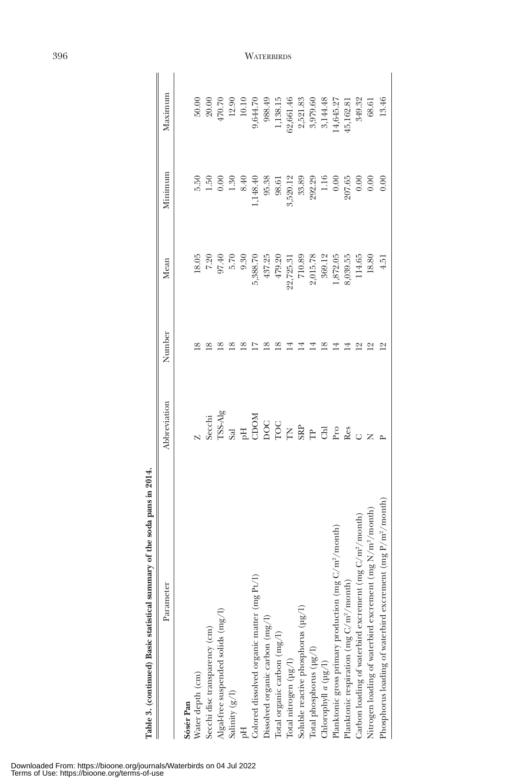| of the soda pans in 2014<br>Table 3. (continued) Basic statistical summary |                                                                                                  |        |           |          |                   |
|----------------------------------------------------------------------------|--------------------------------------------------------------------------------------------------|--------|-----------|----------|-------------------|
| Parameter                                                                  | Abbreviation                                                                                     | Number | Mean      | Minimum  | Maximum           |
| Sósér Pan                                                                  |                                                                                                  |        |           |          |                   |
| Water depth (cm)                                                           |                                                                                                  |        | 18.05     | 5.50     | 50.00             |
| Secchi disc transparency (cm)                                              |                                                                                                  |        | 7.20      | 1.50     |                   |
| Algal-free suspended solids (mg/l)                                         | Secchi<br>ISS-Alg                                                                                |        | 97.40     | 0.00     | $20.00$<br>470.70 |
| Salinity $(g/l)$                                                           |                                                                                                  |        | 5.70      | 1.30     | 12.90             |
|                                                                            |                                                                                                  |        | 9.30      | 8.40     | 10.10             |
| Colored dissolved organic matter (mg Pt/l)                                 |                                                                                                  |        | 5,388.70  | ,148.40  | 9,644.70          |
| Dissolved organic carbon (mg/l)                                            |                                                                                                  | ≌      | 437.25    | 95.38    | 988.49            |
| Total organic carbon $\left(\mathrm{mg}/\mathrm{l}\right)$                 |                                                                                                  |        | 479.20    | 98.61    | 1,138.15          |
| Total nitrogen (µg/l)                                                      |                                                                                                  |        | 22,725.31 | 3,520.12 | 32,661.46         |
| Soluble reactive phosphorus (µg/l)                                         | $\begin{array}{c}\n 3 \\ 3 \\ 4 \\ 5 \\ 6 \\ 8 \\ 1 \\ 1 \\ 2 \\ 3 \\ 4 \\ 5 \\ 6\n \end{array}$ |        | 710.89    | 33.89    | 2,521.83          |
| Total phosphorus (µg/l)                                                    |                                                                                                  |        | 2,015.78  | 292.29   | 3,979.60          |
| Chlorophyll $a$ ( $\mu$ g/l)                                               |                                                                                                  |        | 369.12    | 1.16     | 3,144.48          |
| Planktonic gross primary production (mg C/m <sup>2</sup> /month)           | Pro                                                                                              |        | ,872.05   | 0.00     | 4,645.27          |
| Planktonic respiration (mg C/m <sup>2</sup> /month)                        | Res                                                                                              |        | 8,039.55  | 207.65   | 15,162.81         |
| $/m^2/m$ onth)<br>Carbon loading of waterbird excrement (mg C,             |                                                                                                  |        | 114.65    | 0.00     | 349.32            |
| Nitrogen loading of waterbird excrement (mg N/m <sup>2</sup> /month)       |                                                                                                  |        | 18.80     | 0.00     | 68.61             |
| Phosphorus loading of waterbird excrement (mg P/m <sup>2</sup> /month)     |                                                                                                  |        | $-4.5$    | 0.00     | 13.46             |

396 WATERBIRDS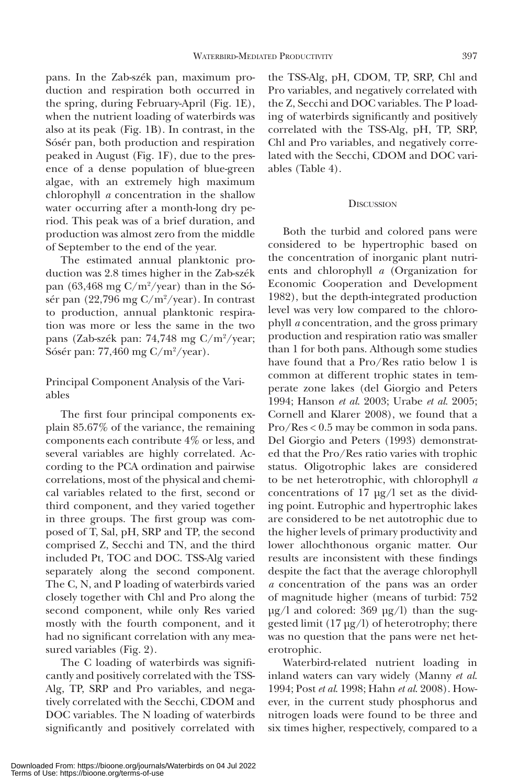pans. In the Zab-szék pan, maximum production and respiration both occurred in the spring, during February-April (Fig. 1E), when the nutrient loading of waterbirds was also at its peak (Fig. 1B). In contrast, in the Sósér pan, both production and respiration peaked in August (Fig. 1F), due to the presence of a dense population of blue-green algae, with an extremely high maximum chlorophyll *a* concentration in the shallow water occurring after a month-long dry period. This peak was of a brief duration, and production was almost zero from the middle of September to the end of the year.

The estimated annual planktonic production was 2.8 times higher in the Zab-szék pan  $(63, 468 \text{ mg C/m}^2/\text{year})$  than in the Sósér pan  $(22,796 \text{ mg C/m}^2/\text{year})$ . In contrast to production, annual planktonic respiration was more or less the same in the two pans (Zab-szék pan: 74,748 mg C/m<sup>2</sup>/year; Sósér pan: 77,460 mg C/m<sup>2</sup>/year).

Principal Component Analysis of the Variables

The first four principal components explain 85.67% of the variance, the remaining components each contribute 4% or less, and several variables are highly correlated. According to the PCA ordination and pairwise correlations, most of the physical and chemical variables related to the first, second or third component, and they varied together in three groups. The first group was composed of T, Sal, pH, SRP and TP, the second comprised Z, Secchi and TN, and the third included Pt, TOC and DOC. TSS-Alg varied separately along the second component. The C, N, and P loading of waterbirds varied closely together with Chl and Pro along the second component, while only Res varied mostly with the fourth component, and it had no significant correlation with any measured variables (Fig. 2).

The C loading of waterbirds was significantly and positively correlated with the TSS-Alg, TP, SRP and Pro variables, and negatively correlated with the Secchi, CDOM and DOC variables. The N loading of waterbirds significantly and positively correlated with the TSS-Alg, pH, CDOM, TP, SRP, Chl and Pro variables, and negatively correlated with the Z, Secchi and DOC variables. The P loading of waterbirds significantly and positively correlated with the TSS-Alg, pH, TP, SRP, Chl and Pro variables, and negatively correlated with the Secchi, CDOM and DOC variables (Table 4).

# **D**ISCUSSION

Both the turbid and colored pans were considered to be hypertrophic based on the concentration of inorganic plant nutrients and chlorophyll *a* (Organization for Economic Cooperation and Development 1982), but the depth-integrated production level was very low compared to the chlorophyll *a* concentration, and the gross primary production and respiration ratio was smaller than 1 for both pans. Although some studies have found that a Pro/Res ratio below 1 is common at different trophic states in temperate zone lakes (del Giorgio and Peters 1994; Hanson *et al*. 2003; Urabe *et al*. 2005; Cornell and Klarer 2008), we found that a Pro/Res < 0.5 may be common in soda pans. Del Giorgio and Peters (1993) demonstrated that the Pro/Res ratio varies with trophic status. Oligotrophic lakes are considered to be net heterotrophic, with chlorophyll *a* concentrations of 17 µg/l set as the dividing point. Eutrophic and hypertrophic lakes are considered to be net autotrophic due to the higher levels of primary productivity and lower allochthonous organic matter. Our results are inconsistent with these findings despite the fact that the average chlorophyll *a* concentration of the pans was an order of magnitude higher (means of turbid: 752 µg/l and colored: 369 µg/l) than the suggested limit (17 µg/l) of heterotrophy; there was no question that the pans were net heterotrophic.

Waterbird-related nutrient loading in inland waters can vary widely (Manny *et al*. 1994; Post *et al*. 1998; Hahn *et al*. 2008). However, in the current study phosphorus and nitrogen loads were found to be three and six times higher, respectively, compared to a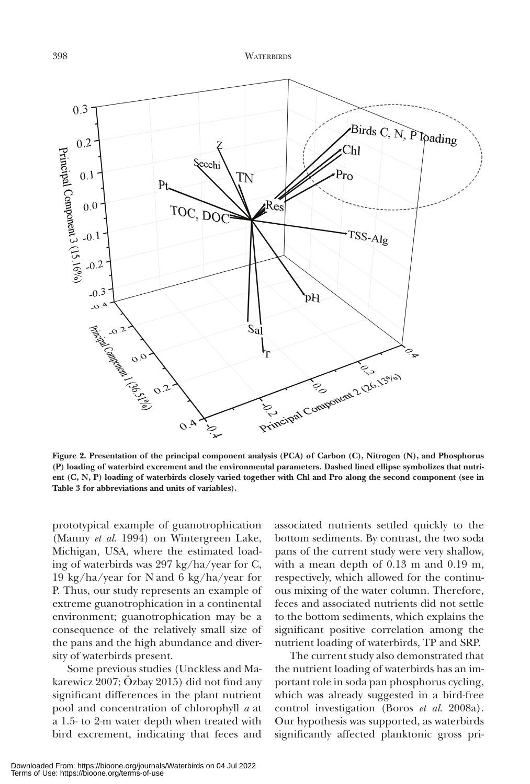

**Figure 2. Presentation of the principal component analysis (PCA) of Carbon (C), Nitrogen (N), and Phosphorus (P) loading of waterbird excrement and the environmental parameters. Dashed lined ellipse symbolizes that nutrient (C, N, P) loading of waterbirds closely varied together with Chl and Pro along the second component (see in Table 3 for abbreviations and units of variables).**

prototypical example of guanotrophication (Manny *et al*. 1994) on Wintergreen Lake, Michigan, USA, where the estimated loading of waterbirds was 297 kg/ha/year for C, 19 kg/ha/year for N and 6 kg/ha/year for P. Thus, our study represents an example of extreme guanotrophication in a continental environment; guanotrophication may be a consequence of the relatively small size of the pans and the high abundance and diversity of waterbirds present.

Some previous studies (Unckless and Makarewicz 2007; Özbay 2015) did not find any significant differences in the plant nutrient pool and concentration of chlorophyll *a* at a 1.5- to 2-m water depth when treated with bird excrement, indicating that feces and

associated nutrients settled quickly to the bottom sediments. By contrast, the two soda pans of the current study were very shallow, with a mean depth of 0.13 m and 0.19 m, respectively, which allowed for the continuous mixing of the water column. Therefore, feces and associated nutrients did not settle to the bottom sediments, which explains the significant positive correlation among the nutrient loading of waterbirds, TP and SRP.

The current study also demonstrated that the nutrient loading of waterbirds has an important role in soda pan phosphorus cycling, which was already suggested in a bird-free control investigation (Boros *et al*. 2008a). Our hypothesis was supported, as waterbirds significantly affected planktonic gross pri-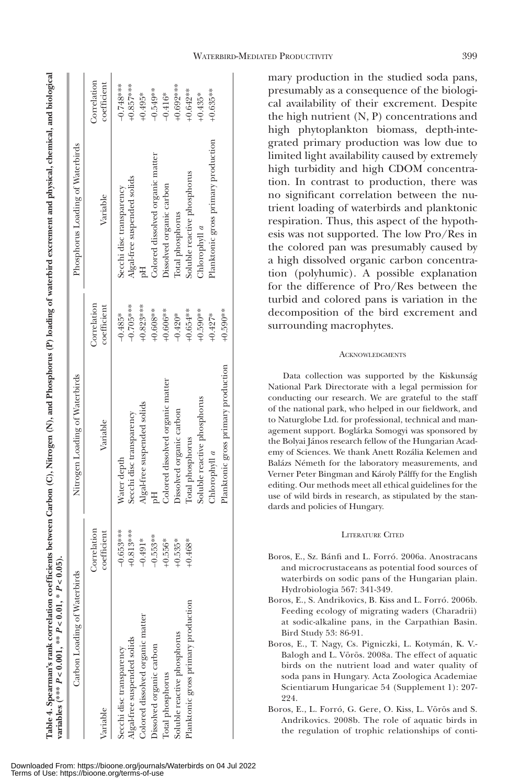**Table 4. Spearman's rank correlation coefficients between Carbon (C), Nitrogen (N), and Phosphorus (P) loading of waterbird excrement and physical, chemical, and biological variables (\*\*\***  Table 4. Spearman's rank correlation coefficients between Carbon (C), Nitrogen (N), and Phosphorus (P) loading of waterbird excrement and physical, chemical, and biological *P*  $\geq$  0.06). **P**  $\geq$  0.001. \*\* *P*  $\geq$  0.01. \* *P*  $\geq$  0.05). *P* **< 0.01, \***  *P* **< 0.001, \*\*** 

|                                                                                                                                                                                                                                                                                                                   |                                  | Correlation<br>coefficient | $-0.748***$<br>$+0.857***$<br>$+0.692***$<br>$+0.642**$<br>$-0.549**$<br>$+0.635**$<br>$+0.495*$<br>$-0.416*$<br>$+0.435*$                                                                                                                          |
|-------------------------------------------------------------------------------------------------------------------------------------------------------------------------------------------------------------------------------------------------------------------------------------------------------------------|----------------------------------|----------------------------|-----------------------------------------------------------------------------------------------------------------------------------------------------------------------------------------------------------------------------------------------------|
|                                                                                                                                                                                                                                                                                                                   | Phosphorus Loading of Waterbirds | Variable                   | Planktonic gross primary production<br>Colored dissolved organic matter<br>Soluble reactive phosphorus<br>Algal-free suspended solids<br>Dissolved organic carbon<br>Secchi disc transparency<br>Total phosphorus<br>Chlorophyll $a$                |
|                                                                                                                                                                                                                                                                                                                   |                                  | Correlation<br>coefficient | $-0.705***$<br>$+0.823***$<br>$+0.608**$<br>$+0.606**$<br>$+0.654***$<br>$+0.590**$<br>$+0.590***$<br>$-0.485*$<br>$-0.420*$<br>$+0.427*$                                                                                                           |
|                                                                                                                                                                                                                                                                                                                   | Nitrogen Loading of Waterbirds   | Variable                   | Planktonic gross primary production<br>Colored dissolved organic matter<br>Soluble reactive phosphorus<br>Algal-free suspended solids<br>Dissolved organic carbon<br>Secchi disc transparency<br>Total phosphorus<br>Chlorophyll $a$<br>Water depth |
|                                                                                                                                                                                                                                                                                                                   |                                  | Correlation<br>coefficient | $-0.653***$<br>$-0.813***$<br>$-0.553**$<br>$-0.491*$<br>$-0.556*$<br>$-0.535*$<br>$-0.468*$                                                                                                                                                        |
| $\ldots$ , $\ldots$ , $\ldots$ , $\ldots$ , $\ldots$ , $\ldots$ , $\ldots$ , $\ldots$ , $\ldots$ , $\ldots$ , $\ldots$ , $\ldots$ , $\ldots$ , $\ldots$ , $\ldots$ , $\ldots$ , $\ldots$ , $\ldots$ , $\ldots$ , $\ldots$ , $\ldots$ , $\ldots$ , $\ldots$ , $\ldots$ , $\ldots$ , $\ldots$ , $\ldots$ , $\ldots$ | Carbon Loading of Waterbirds     | <b>Ariable</b>             | Planktonic gross primary production<br>Colored dissolved organic matter<br>Soluble reactive phosphorus<br>Algal-free suspended solids<br>Dissolved organic carbon<br>Secchi disc transparency<br>Total phosphorus                                   |

WATERBIRD-MEDIATED PRODUCTIVITY 399

mary production in the studied soda pans, presumably as a consequence of the biological availability of their excrement. Despite the high nutrient (N, P) concentrations and high phytoplankton biomass, depth-integrated primary production was low due to limited light availability caused by extremely high turbidity and high CDOM concentration. In contrast to production, there was no significant correlation between the nutrient loading of waterbirds and planktonic respiration. Thus, this aspect of the hypothesis was not supported. The low Pro/Res in the colored pan was presumably caused by a high dissolved organic carbon concentration (polyhumic). A possible explanation for the difference of Pro/Res between the turbid and colored pans is variation in the decomposition of the bird excrement and surrounding macrophytes.

# ACKNOWLEDGMENTS

Data collection was supported by the Kiskunság National Park Directorate with a legal permission for conducting our research. We are grateful to the staff of the national park, who helped in our fieldwork, and to Naturglobe Ltd. for professional, technical and management support. Boglárka Somogyi was sponsored by the Bolyai János research fellow of the Hungarian Academy of Sciences. We thank Anett Rozália Kelemen and Balázs Németh for the laboratory measurements, and Verner Peter Bingman and Károly Pálffy for the English editing. Our methods meet all ethical guidelines for the use of wild birds in research, as stipulated by the standards and policies of Hungary.

## LITERATURE CITED

- Boros, E., Sz. Bánfi and L. Forró. 2006a. Anostracans and microcrustaceans as potential food sources of waterbirds on sodic pans of the Hungarian plain. Hydrobiologia 567: 341-349.
- Boros, E., S. Andrikovics, B. Kiss and L. Forró. 2006b. Feeding ecology of migrating waders (Charadrii) at sodic-alkaline pans, in the Carpathian Basin. Bird Study 53: 86-91.
- Boros, E., T. Nagy, Cs. Pigniczki, L. Kotymán, K. V.- Balogh and L. Vörös. 2008a. The effect of aquatic birds on the nutrient load and water quality of soda pans in Hungary. Acta Zoologica Academiae Scientiarum Hungaricae 54 (Supplement 1): 207- 994
- Boros, E., L. Forró, G. Gere, O. Kiss, L. Vörös and S. Andrikovics. 2008b. The role of aquatic birds in the regulation of trophic relationships of conti-

Downloaded From: https://bioone.org/journals/Waterbirds on 04 Jul 2022 Terms of Use: https://bioone.org/terms-of-use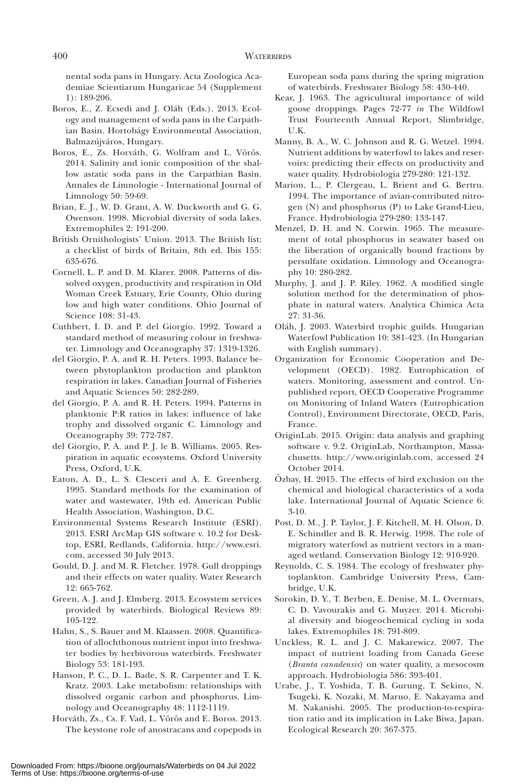nental soda pans in Hungary. Acta Zoologica Academiae Scientiarum Hungaricae 54 (Supplement 1): 189-206.

- Boros, E., Z. Ecsedi and J. Oláh (Eds.). 2013. Ecology and management of soda pans in the Carpathian Basin. Hortobágy Environmental Association, Balmazújváros, Hungary.
- Boros, E., Zs. Horváth, G. Wolfram and L. Vörös. 2014. Salinity and ionic composition of the shallow astatic soda pans in the Carpathian Basin. Annales de Limnologie - International Journal of Limnology 50: 59-69.
- Brian, E. J., W. D. Grant, A. W. Duckworth and G. G. Owenson. 1998. Microbial diversity of soda lakes. Extremophiles 2: 191-200.
- British Ornithologists' Union. 2013. The British list: a checklist of birds of Britain, 8th ed. Ibis 155: 635-676.
- Cornell, L. P. and D. M. Klarer. 2008. Patterns of dissolved oxygen, productivity and respiration in Old Woman Creek Estuary, Erie County, Ohio during low and high water conditions. Ohio Journal of Science 108: 31-43.
- Cuthbert, I. D. and P. del Giorgio. 1992. Toward a standard method of measuring colour in freshwater. Limnology and Oceanography 37: 1319-1326.
- del Giorgio, P. A. and R. H. Peters. 1993. Balance between phytoplankton production and plankton respiration in lakes. Canadian Journal of Fisheries and Aquatic Sciences 50: 282-289.
- del Giorgio, P. A. and R. H. Peters. 1994. Patterns in planktonic P:R ratios in lakes: influence of lake trophy and dissolved organic C. Limnology and Oceanography 39: 772-787.
- del Giorgio, P. A. and P. J. le B. Williams. 2005. Respiration in aquatic ecosystems. Oxford University Press, Oxford, U.K.
- Eaton, A. D., L. S. Clesceri and A. E. Greenberg. 1995. Standard methods for the examination of water and wastewater, 19th ed. American Public Health Association, Washington, D.C.
- Environmental Systems Research Institute (ESRI). 2013. ESRI ArcMap GIS software v. 10.2 for Desktop, ESRI, Redlands, California. http://www.esri. com, accessed 30 July 2013.
- Gould, D. J. and M. R. Fletcher. 1978. Gull droppings and their effects on water quality. Water Research 12: 665-762.
- Green, A. J. and J. Elmberg. 2013. Ecosystem services provided by waterbirds. Biological Reviews 89: 105-122.
- Hahn, S., S. Bauer and M. Klaassen. 2008. Quantification of allochthonous nutrient input into freshwater bodies by herbivorous waterbirds. Freshwater Biology 53: 181-193.
- Hanson, P. C., D. L. Bade, S. R. Carpenter and T. K. Kratz. 2003. Lake metabolism: relationships with dissolved organic carbon and phosphorus. Limnology and Oceanography 48: 1112-1119.
- Horváth, Zs., Cs. F. Vad, L. Vörös and E. Boros. 2013. The keystone role of anostracans and copepods in

European soda pans during the spring migration of waterbirds. Freshwater Biology 58: 430-440.

- Kear, J. 1963. The agricultural importance of wild goose droppings. Pages 72-77 *in* The Wildfowl Trust Fourteenth Annual Report, Slimbridge, U.K.
- Manny, B. A., W. C. Johnson and R. G. Wetzel. 1994. Nutrient additions by waterfowl to lakes and reservoirs: predicting their effects on productivity and water quality. Hydrobiologia 279-280: 121-132.
- Marion, L., P. Clergeau, L. Brient and G. Bertru. 1994. The importance of avian-contributed nitrogen (N) and phosphorus (P) to Lake Grand-Lieu, France. Hydrobiologia 279-280: 133-147.
- Menzel, D. H. and N. Corwin. 1965. The measurement of total phosphorus in seawater based on the liberation of organically bound fractions by persulfate oxidation. Limnology and Oceanography 10: 280-282.
- Murphy, J. and J. P. Riley. 1962. A modified single solution method for the determination of phosphate in natural waters. Analytica Chimica Acta 27: 31-36.
- Oláh, J. 2003. Waterbird trophic guilds. Hungarian Waterfowl Publication 10: 381-423. (In Hungarian with English summary).
- Organization for Economic Cooperation and Development (OECD). 1982. Eutrophication of waters. Monitoring, assessment and control. Unpublished report, OECD Cooperative Programme on Monitoring of Inland Waters (Eutrophication Control), Environment Directorate, OECD, Paris, France.
- OriginLab. 2015. Origin: data analysis and graphing software v. 9.2. OriginLab, Northampton, Massachusetts. http://www.originlab.com, accessed 24 October 2014.
- Özbay, H. 2015. The effects of bird exclusion on the chemical and biological characteristics of a soda lake. International Journal of Aquatic Science 6: 3-10.
- Post, D. M., J. P. Taylor, J. F. Kitchell, M. H. Olson, D. E. Schindler and B. R. Herwig. 1998. The role of migratory waterfowl as nutrient vectors in a managed wetland. Conservation Biology 12: 910-920.
- Reynolds, C. S. 1984. The ecology of freshwater phytoplankton. Cambridge University Press, Cambridge, U.K.
- Sorokin, D. Y., T. Berben, E. Denise, M. L. Overmars, C. D. Vavourakis and G. Muyzer. 2014. Microbial diversity and biogeochemical cycling in soda lakes. Extremophiles 18: 791-809.
- Unckless, R. L. and J. C. Makarewicz. 2007. The impact of nutrient loading from Canada Geese (*Branta canadensis*) on water quality, a mesocosm approach. Hydrobiologia 586: 393-401.
- Urabe, J., T. Yoshida, T. B. Gurung, T. Sekino, N. Tsugeki, K. Nozaki, M. Maruo, E. Nakayama and M. Nakanishi. 2005. The production-to-respiration ratio and its implication in Lake Biwa, Japan. Ecological Research 20: 367-375.